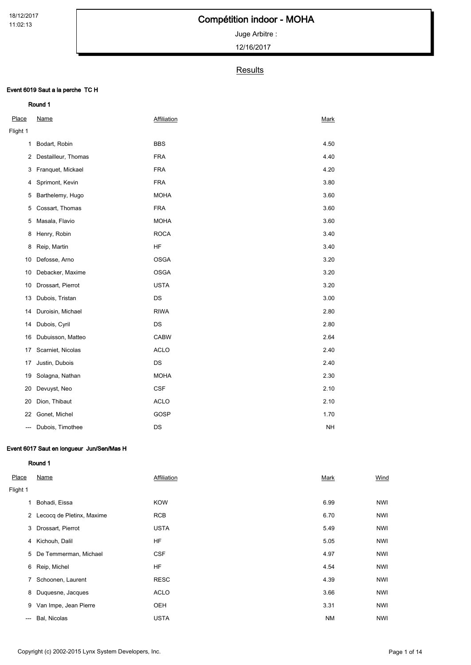Juge Arbitre :

12/16/2017

### **Results**

### Event 6019 Saut a la perche TC H

| Place          | <b>Name</b>         | <b>Affiliation</b> | <b>Mark</b> |
|----------------|---------------------|--------------------|-------------|
| Flight 1       |                     |                    |             |
| $\mathbf{1}$   | Bodart, Robin       | <b>BBS</b>         | 4.50        |
| $\overline{2}$ | Destailleur, Thomas | <b>FRA</b>         | 4.40        |
| 3              | Franquet, Mickael   | <b>FRA</b>         | 4.20        |
| 4              | Sprimont, Kevin     | <b>FRA</b>         | 3.80        |
| 5              | Barthelemy, Hugo    | <b>MOHA</b>        | 3.60        |
| 5              | Cossart, Thomas     | <b>FRA</b>         | 3.60        |
| 5              | Masala, Flavio      | <b>MOHA</b>        | 3.60        |
| 8              | Henry, Robin        | <b>ROCA</b>        | 3.40        |
| 8              | Reip, Martin        | HF                 | 3.40        |
| 10             | Defosse, Arno       | <b>OSGA</b>        | 3.20        |
| 10             | Debacker, Maxime    | <b>OSGA</b>        | 3.20        |
| 10             | Drossart, Pierrot   | <b>USTA</b>        | 3.20        |
| 13             | Dubois, Tristan     | <b>DS</b>          | 3.00        |
| 14             | Duroisin, Michael   | <b>RIWA</b>        | 2.80        |
| 14             | Dubois, Cyril       | DS                 | 2.80        |
| 16             | Dubuisson, Matteo   | <b>CABW</b>        | 2.64        |
| 17             | Scarniet, Nicolas   | <b>ACLO</b>        | 2.40        |
| 17             | Justin, Dubois      | DS                 | 2.40        |
| 19             | Solagna, Nathan     | <b>MOHA</b>        | 2.30        |
| 20             | Devuyst, Neo        | <b>CSF</b>         | 2.10        |
| 20             | Dion, Thibaut       | <b>ACLO</b>        | 2.10        |
| 22             | Gonet, Michel       | GOSP               | 1.70        |
| ---            | Dubois, Timothee    | DS                 | <b>NH</b>   |

### Event 6017 Saut en longueur Jun/Sen/Mas H

| Place    | Name                        | Affiliation | Mark      | Wind       |
|----------|-----------------------------|-------------|-----------|------------|
| Flight 1 |                             |             |           |            |
| 1        | Bohadi, Eissa               | <b>KOW</b>  | 6.99      | <b>NWI</b> |
|          | 2 Lecocq de Pletinx, Maxime | <b>RCB</b>  | 6.70      | <b>NWI</b> |
| 3        | Drossart, Pierrot           | <b>USTA</b> | 5.49      | <b>NWI</b> |
| 4        | Kichouh, Dalil              | HF          | 5.05      | <b>NWI</b> |
| 5        | De Temmerman, Michael       | <b>CSF</b>  | 4.97      | <b>NWI</b> |
| 6        | Reip, Michel                | HF          | 4.54      | <b>NWI</b> |
| 7        | Schoonen, Laurent           | <b>RESC</b> | 4.39      | <b>NWI</b> |
| 8        | Duquesne, Jacques           | <b>ACLO</b> | 3.66      | <b>NWI</b> |
| 9        | Van Impe, Jean Pierre       | OEH         | 3.31      | <b>NWI</b> |
| $---$    | Bal, Nicolas                | <b>USTA</b> | <b>NM</b> | <b>NWI</b> |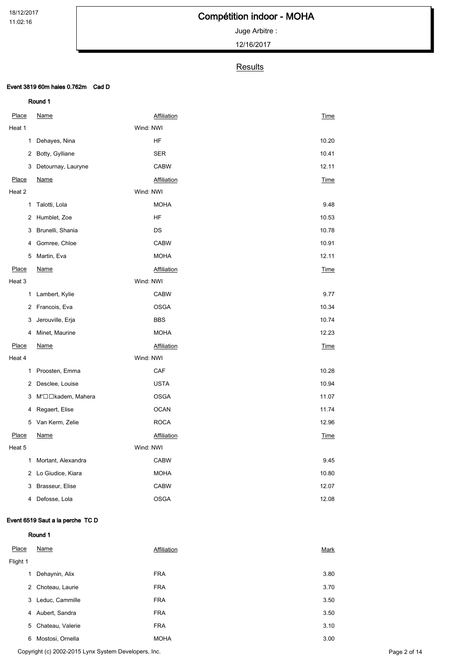Juge Arbitre :

12/16/2017

### **Results**

### Event 3819 60m haies 0.762m Cad D

Round 1

| <b>Place</b> | <u>Name</u>        |           | <b>Affiliation</b> | <b>Time</b> |
|--------------|--------------------|-----------|--------------------|-------------|
| Heat 1       |                    | Wind: NWI |                    |             |
| 1            | Dehayes, Nina      |           | HF                 | 10.20       |
| 2            | Botty, Gylliane    |           | <b>SER</b>         | 10.41       |
| 3            | Detournay, Lauryne |           | <b>CABW</b>        | 12.11       |
| Place        | <b>Name</b>        |           | Affiliation        | Time        |
| Heat 2       |                    | Wind: NWI |                    |             |
| 1            | Talotti, Lola      |           | <b>MOHA</b>        | 9.48        |
| 2            | Humblet, Zoe       |           | HF                 | 10.53       |
| 3            | Brunelli, Shania   |           | DS                 | 10.78       |
| 4            | Gomree, Chloe      |           | <b>CABW</b>        | 10.91       |
| 5            | Martin, Eva        |           | <b>MOHA</b>        | 12.11       |
| Place        | <b>Name</b>        |           | Affiliation        | <b>Time</b> |
| Heat 3       |                    | Wind: NWI |                    |             |
| 1            | Lambert, Kylie     |           | <b>CABW</b>        | 9.77        |
| 2            | Francois, Eva      |           | <b>OSGA</b>        | 10.34       |
| 3            | Jerouville, Erja   |           | <b>BBS</b>         | 10.74       |
| 4            | Minet, Maurine     |           | <b>MOHA</b>        | 12.23       |
| Place        | Name               |           | Affiliation        | Time        |
| Heat 4       |                    | Wind: NWI |                    |             |
| 1            | Proosten, Emma     |           | CAF                | 10.28       |
| 2            | Desclee, Louise    |           | <b>USTA</b>        | 10.94       |
| 3            | M'□□kadem, Mahera  |           | <b>OSGA</b>        | 11.07       |
| 4            | Regaert, Elise     |           | <b>OCAN</b>        | 11.74       |
| 5            | Van Kerm, Zelie    |           | <b>ROCA</b>        | 12.96       |
| Place        | <u>Name</u>        |           | <b>Affiliation</b> | Time        |
| Heat 5       |                    | Wind: NWI |                    |             |
| 1            | Mortant, Alexandra |           | <b>CABW</b>        | 9.45        |
| 2            | Lo Giudice, Kiara  |           | <b>MOHA</b>        | 10.80       |
| 3            | Brasseur, Elise    |           | <b>CABW</b>        | 12.07       |
| 4            | Defosse, Lola      |           | <b>OSGA</b>        | 12.08       |

### Event 6519 Saut a la perche TC D

Round 1

Place Name **Mark** Affiliation **Affiliation Affiliation Mark** Flight 1 Dehaynin, Alix FRA 3.80 Choteau, Laurie FRA 3.70 Leduc, Cammille FRA 3.50 Aubert, Sandra FRA 3.50 Chateau, Valerie FRA 3.10 Mostosi, Ornella MOHA 3.00

Copyright (c) 2002-2015 Lynx System Developers, Inc. Page 2 of 14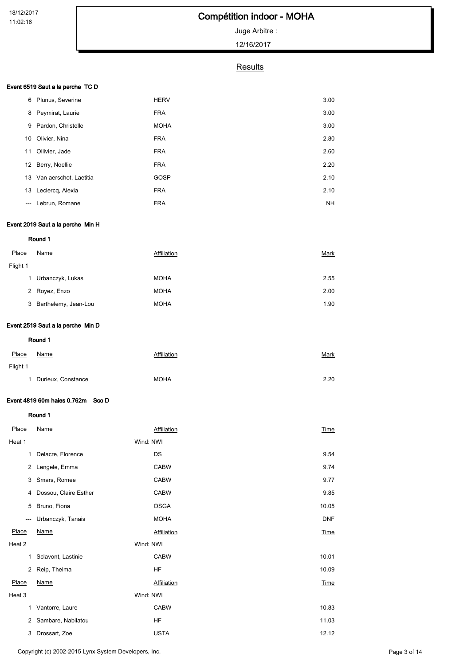## Compétition indoor - MOHA

## Juge Arbitre :

12/16/2017

## **Results**

### Event 6519 Saut a la perche TC D

| 6                             | Plunus, Severine          | <b>HERV</b> | 3.00      |
|-------------------------------|---------------------------|-------------|-----------|
| 8                             | Peymirat, Laurie          | <b>FRA</b>  | 3.00      |
|                               | 9 Pardon, Christelle      | <b>MOHA</b> | 3.00      |
| 10                            | Olivier, Nina             | <b>FRA</b>  | 2.80      |
| 11                            | Ollivier, Jade            | <b>FRA</b>  | 2.60      |
|                               | 12 Berry, Noellie         | <b>FRA</b>  | 2.20      |
|                               | 13 Van aerschot, Laetitia | GOSP        | 2.10      |
| 13                            | Leclercq, Alexia          | <b>FRA</b>  | 2.10      |
| $\hspace{1.5cm} \textbf{---}$ | Lebrun, Romane            | <b>FRA</b>  | <b>NH</b> |

### Event 2019 Saut a la perche Min H

Round 1

| 2.55 |
|------|
| 2.00 |
| 1.90 |
|      |

### Event 2519 Saut a la perche Min D

Round 1

| Place    | Name                 | Affiliation | <u>Mark</u> |
|----------|----------------------|-------------|-------------|
| Flight 1 |                      |             |             |
|          | 1 Durieux, Constance | <b>MOHA</b> | 2.20        |

### Event 4819 60m haies 0.762m Sco D

| Place  | Name                  | Affiliation | Time        |
|--------|-----------------------|-------------|-------------|
| Heat 1 |                       | Wind: NWI   |             |
| 1      | Delacre, Florence     | DS          | 9.54        |
| 2      | Lengele, Emma         | <b>CABW</b> | 9.74        |
| 3      | Smars, Romee          | <b>CABW</b> | 9.77        |
| 4      | Dossou, Claire Esther | <b>CABW</b> | 9.85        |
| 5      | Bruno, Fiona          | <b>OSGA</b> | 10.05       |
| ---    | Urbanczyk, Tanais     | <b>MOHA</b> | <b>DNF</b>  |
| Place  | <b>Name</b>           | Affiliation | <b>Time</b> |
| Heat 2 |                       | Wind: NWI   |             |
| 1      | Sclavont, Lastinie    | <b>CABW</b> | 10.01       |
| 2      | Reip, Thelma          | <b>HF</b>   | 10.09       |
| Place  | <b>Name</b>           | Affiliation | <b>Time</b> |
| Heat 3 |                       | Wind: NWI   |             |
| 1      | Vantorre, Laure       | <b>CABW</b> | 10.83       |
| 2      | Sambare, Nabilatou    | <b>HF</b>   | 11.03       |
| 3      | Drossart, Zoe         | <b>USTA</b> | 12.12       |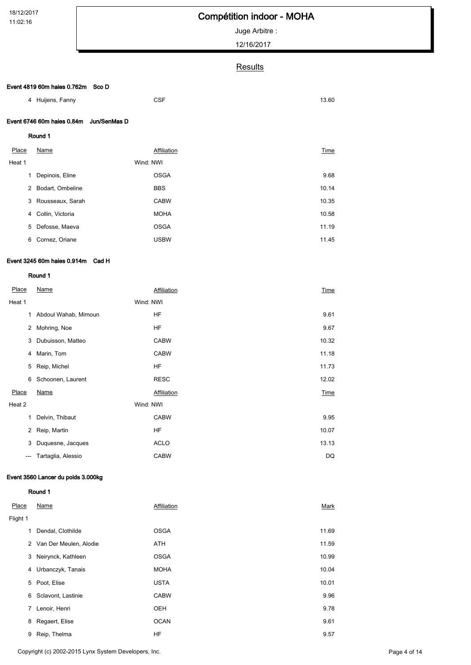Juge Arbitre :

12/16/2017

## **Results**

#### Event 4819 60m haies 0.762m Sco D

| 4 Huijens, Fanny                        | <b>CSF</b> | 13.60 |
|-----------------------------------------|------------|-------|
| Event 6746 60m haies 0.84m Jun/SenMas D |            |       |
| Round 1                                 |            |       |

| Place  | Name             | Affiliation | Time  |
|--------|------------------|-------------|-------|
| Heat 1 |                  | Wind: NWI   |       |
| 1      | Depinois, Eline  | <b>OSGA</b> | 9.68  |
| 2      | Bodart, Ombeline | <b>BBS</b>  | 10.14 |
| 3      | Rousseaux, Sarah | <b>CABW</b> | 10.35 |
| 4      | Collin, Victoria | <b>MOHA</b> | 10.58 |
| 5      | Defosse, Maeva   | <b>OSGA</b> | 11.19 |
| 6      | Cornez, Oriane   | <b>USBW</b> | 11.45 |

### Event 3245 60m haies 0.914m Cad H

#### Round 1

| Place  | Name                 | Affiliation | Time  |
|--------|----------------------|-------------|-------|
| Heat 1 |                      | Wind: NWI   |       |
| 1      | Abdoul Wahab, Mimoun | HF          | 9.61  |
| 2      | Mohring, Noe         | HF          | 9.67  |
| 3      | Dubuisson, Matteo    | <b>CABW</b> | 10.32 |
| 4      | Marin, Tom           | <b>CABW</b> | 11.18 |
| 5      | Reip, Michel         | HF          | 11.73 |
| 6      | Schoonen, Laurent    | <b>RESC</b> | 12.02 |
| Place  | Name                 | Affiliation | Time  |
| Heat 2 |                      | Wind: NWI   |       |
| 1      | Delvin, Thibaut      | <b>CABW</b> | 9.95  |
| 2      | Reip, Martin         | HF          | 10.07 |
| 3      | Duquesne, Jacques    | <b>ACLO</b> | 13.13 |
| ---    | Tartaglia, Alessio   | <b>CABW</b> | DQ    |
|        |                      |             |       |

### Event 3560 Lancer du poids 3.000kg

| Place    | Name                     | Affiliation | Mark  |
|----------|--------------------------|-------------|-------|
| Flight 1 |                          |             |       |
| 1        | Dendal, Clothilde        | <b>OSGA</b> | 11.69 |
|          | 2 Van Der Meulen, Alodie | ATH         | 11.59 |
| 3        | Neirynck, Kathleen       | <b>OSGA</b> | 10.99 |
| 4        | Urbanczyk, Tanais        | <b>MOHA</b> | 10.04 |
| 5        | Poot, Elise              | <b>USTA</b> | 10.01 |
| 6        | Sclavont, Lastinie       | <b>CABW</b> | 9.96  |
| 7        | Lenoir, Henri            | <b>OEH</b>  | 9.78  |
| 8        | Regaert, Elise           | <b>OCAN</b> | 9.61  |
| 9        | Reip, Thelma             | HF          | 9.57  |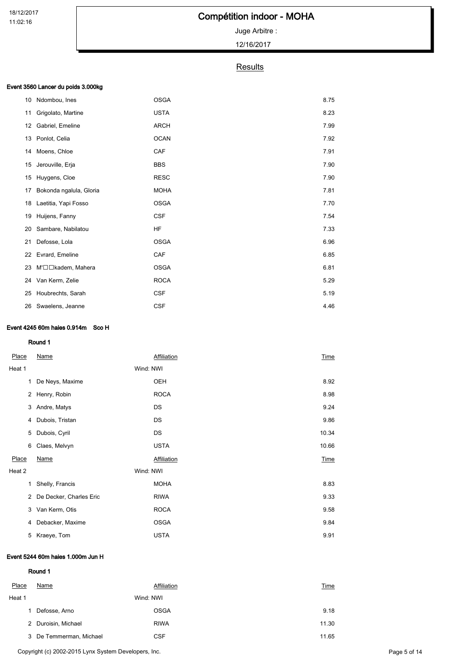## Compétition indoor - MOHA

## Juge Arbitre :

12/16/2017

### **Results**

### Event 3560 Lancer du poids 3.000kg

| 10 | Ndombou, Ines           | <b>OSGA</b> | 8.75 |
|----|-------------------------|-------------|------|
| 11 | Grigolato, Martine      | <b>USTA</b> | 8.23 |
| 12 | Gabriel, Emeline        | <b>ARCH</b> | 7.99 |
| 13 | Ponlot, Celia           | <b>OCAN</b> | 7.92 |
| 14 | Moens, Chloe            | CAF         | 7.91 |
| 15 | Jerouville, Erja        | <b>BBS</b>  | 7.90 |
| 15 | Huygens, Cloe           | <b>RESC</b> | 7.90 |
| 17 | Bokonda ngalula, Gloria | <b>MOHA</b> | 7.81 |
| 18 | Laetitia, Yapi Fosso    | <b>OSGA</b> | 7.70 |
| 19 | Huijens, Fanny          | <b>CSF</b>  | 7.54 |
| 20 | Sambare, Nabilatou      | HF          | 7.33 |
| 21 | Defosse, Lola           | <b>OSGA</b> | 6.96 |
| 22 | Evrard, Emeline         | CAF         | 6.85 |
| 23 | M'□□kadem, Mahera       | <b>OSGA</b> | 6.81 |
|    | 24 Van Kerm, Zelie      | <b>ROCA</b> | 5.29 |
| 25 | Houbrechts, Sarah       | <b>CSF</b>  | 5.19 |
|    | 26 Swaelens, Jeanne     | <b>CSF</b>  | 4.46 |

#### Event 4245 60m haies 0.914m Sco H

#### Round 1

| Place  | Name                    | Affiliation | <b>Time</b> |
|--------|-------------------------|-------------|-------------|
| Heat 1 | Wind: NWI               |             |             |
| 1      | De Neys, Maxime         | OEH         | 8.92        |
| 2      | Henry, Robin            | <b>ROCA</b> | 8.98        |
| 3      | Andre, Matys            | DS          | 9.24        |
| 4      | Dubois, Tristan         | DS          | 9.86        |
| 5      | Dubois, Cyril           | DS          | 10.34       |
| 6      | Claes, Melvyn           | <b>USTA</b> | 10.66       |
| Place  | <b>Name</b>             | Affiliation | Time        |
| Heat 2 | Wind: NWI               |             |             |
| 1      | Shelly, Francis         | <b>MOHA</b> | 8.83        |
| 2      | De Decker, Charles Eric | <b>RIWA</b> | 9.33        |
| 3      | Van Kerm, Otis          | <b>ROCA</b> | 9.58        |
| 4      | Debacker, Maxime        | <b>OSGA</b> | 9.84        |
| 5      | Kraeye, Tom             | <b>USTA</b> | 9.91        |

#### Event 5244 60m haies 1.000m Jun H

| Place  | Name                    | Affiliation | Time  |
|--------|-------------------------|-------------|-------|
| Heat 1 |                         | Wind: NWI   |       |
|        | Defosse, Arno           | <b>OSGA</b> | 9.18  |
|        | 2 Duroisin, Michael     | <b>RIWA</b> | 11.30 |
|        | 3 De Temmerman, Michael | <b>CSF</b>  | 11.65 |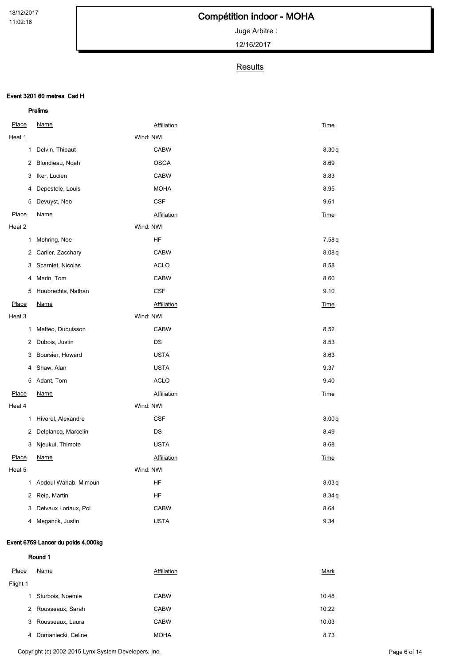Juge Arbitre :

12/16/2017

## **Results**

#### Event 3201 60 metres Cad H

|              | Prelims                |           |                    |             |
|--------------|------------------------|-----------|--------------------|-------------|
| Place        | <b>Name</b>            |           | <b>Affiliation</b> | Time        |
| Heat 1       |                        | Wind: NWI |                    |             |
| 1            | Delvin, Thibaut        |           | <b>CABW</b>        | 8.30q       |
| 2            | Blondieau, Noah        |           | <b>OSGA</b>        | 8.69        |
| 3            | Iker, Lucien           |           | <b>CABW</b>        | 8.83        |
| 4            | Depestele, Louis       |           | <b>MOHA</b>        | 8.95        |
| 5            | Devuyst, Neo           |           | <b>CSF</b>         | 9.61        |
| Place        | <b>Name</b>            |           | <b>Affiliation</b> | Time        |
| Heat 2       |                        | Wind: NWI |                    |             |
| 1            | Mohring, Noe           |           | HF                 | 7.58q       |
| 2            | Carlier, Zacchary      |           | <b>CABW</b>        | 8.08q       |
| 3            | Scarniet, Nicolas      |           | <b>ACLO</b>        | 8.58        |
| 4            | Marin, Tom             |           | <b>CABW</b>        | 8.60        |
| 5            | Houbrechts, Nathan     |           | <b>CSF</b>         | 9.10        |
| Place        | <u>Name</u>            |           | <b>Affiliation</b> | Time        |
| Heat 3       |                        | Wind: NWI |                    |             |
| 1            | Matteo, Dubuisson      |           | <b>CABW</b>        | 8.52        |
| 2            | Dubois, Justin         |           | DS                 | 8.53        |
| 3            | Boursier, Howard       |           | <b>USTA</b>        | 8.63        |
| 4            | Shaw, Alan             |           | <b>USTA</b>        | 9.37        |
| 5            | Adant, Tom             |           | <b>ACLO</b>        | 9.40        |
| Place        | <u>Name</u>            |           | <b>Affiliation</b> | <b>Time</b> |
| Heat 4       |                        | Wind: NWI |                    |             |
| 1            | Hivorel, Alexandre     |           | <b>CSF</b>         | 8.00q       |
| $\mathbf{2}$ | Delplancq, Marcelin    |           | DS                 | 8.49        |
| 3            | Njeukui, Thimote       |           | <b>USTA</b>        | 8.68        |
| Place        | Name                   |           | Affiliation        | Time        |
| Heat 5       |                        | Wind: NWI |                    |             |
|              | 1 Abdoul Wahab, Mimoun |           | HF                 | 8.03q       |
| $\mathbf{2}$ | Reip, Martin           |           | HF                 | 8.34q       |
| 3            | Delvaux Loriaux, Pol   |           | <b>CABW</b>        | 8.64        |
|              | 4 Meganck, Justin      |           | <b>USTA</b>        | 9.34        |

### Event 6759 Lancer du poids 4.000kg

Round 1

| Place    | Name               | Affiliation | Mark  |
|----------|--------------------|-------------|-------|
| Flight 1 |                    |             |       |
| 1.       | Sturbois, Noemie   | <b>CABW</b> | 10.48 |
| 2        | Rousseaux, Sarah   | <b>CABW</b> | 10.22 |
| 3        | Rousseaux, Laura   | <b>CABW</b> | 10.03 |
| 4        | Domaniecki, Celine | <b>MOHA</b> | 8.73  |

Copyright (c) 2002-2015 Lynx System Developers, Inc. extending the state of the control of the Page 6 of 14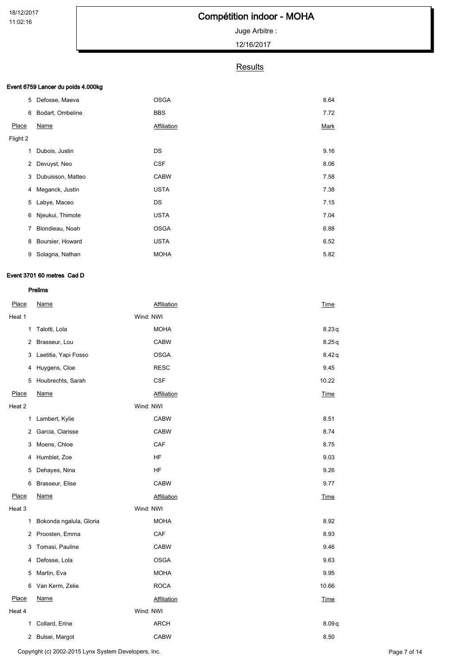# Compétition indoor - MOHA

## Juge Arbitre :

12/16/2017

### **Results**

### Event 6759 Lancer du poids 4.000kg

| 5        | Defosse, Maeva    | <b>OSGA</b> | 8.64 |
|----------|-------------------|-------------|------|
| 6        | Bodart, Ombeline  | <b>BBS</b>  | 7.72 |
| Place    | Name              | Affiliation | Mark |
| Flight 2 |                   |             |      |
| 1        | Dubois, Justin    | DS          | 9.16 |
| 2        | Devuyst, Neo      | <b>CSF</b>  | 8.06 |
| 3        | Dubuisson, Matteo | <b>CABW</b> | 7.58 |
| 4        | Meganck, Justin   | <b>USTA</b> | 7.38 |
| 5        | Labye, Maceo      | DS          | 7.15 |
| 6        | Njeukui, Thimote  | <b>USTA</b> | 7.04 |
| 7        | Blondieau, Noah   | <b>OSGA</b> | 6.88 |
| 8        | Boursier, Howard  | <b>USTA</b> | 6.52 |
| 9        | Solagna, Nathan   | <b>MOHA</b> | 5.82 |

### Event 3701 60 metres Cad D

| Place          | Name                    |           | Affiliation        | Time        |
|----------------|-------------------------|-----------|--------------------|-------------|
| Heat 1         |                         | Wind: NWI |                    |             |
| 1              | Talotti, Lola           |           | <b>MOHA</b>        | 8.23q       |
| 2              | Brasseur, Lou           |           | <b>CABW</b>        | 8.25q       |
| 3              | Laetitia, Yapi Fosso    |           | <b>OSGA</b>        | 8.42q       |
| 4              | Huygens, Cloe           |           | <b>RESC</b>        | 9.45        |
| 5              | Houbrechts, Sarah       |           | <b>CSF</b>         | 10.22       |
| Place          | <b>Name</b>             |           | Affiliation        | <b>Time</b> |
| Heat 2         |                         | Wind: NWI |                    |             |
| 1              | Lambert, Kylie          |           | <b>CABW</b>        | 8.51        |
| 2              | Garcia, Clarisse        |           | <b>CABW</b>        | 8.74        |
| 3              | Moens, Chloe            |           | CAF                | 8.75        |
| 4              | Humblet, Zoe            |           | HF                 | 9.03        |
| 5              | Dehayes, Nina           |           | HF                 | 9.26        |
| 6              | Brasseur, Elise         |           | <b>CABW</b>        | 9.77        |
| Place          | <b>Name</b>             |           | <b>Affiliation</b> | Time        |
| Heat 3         |                         | Wind: NWI |                    |             |
| 1              | Bokonda ngalula, Gloria |           | <b>MOHA</b>        | 8.92        |
| 2              | Proosten, Emma          |           | CAF                | 8.93        |
| 3              | Tomasi, Pauline         |           | <b>CABW</b>        | 9.46        |
| 4              | Defosse, Lola           |           | <b>OSGA</b>        | 9.63        |
| 5              | Martin, Eva             |           | <b>MOHA</b>        | 9.95        |
| 6              | Van Kerm, Zelie         |           | <b>ROCA</b>        | 10.66       |
| Place          | <b>Name</b>             |           | <b>Affiliation</b> | <b>Time</b> |
| Heat 4         |                         | Wind: NWI |                    |             |
| 1              | Collard, Erine          |           | <b>ARCH</b>        | 8.09q       |
| $\overline{2}$ | Bulsei, Margot          |           | <b>CABW</b>        | 8.50        |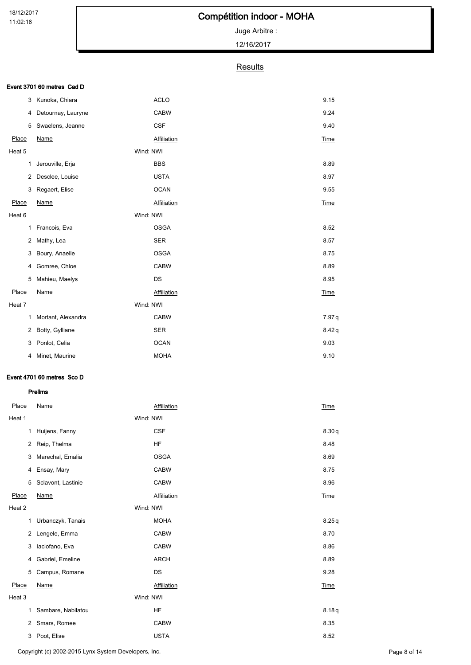# Compétition indoor - MOHA

## Juge Arbitre :

12/16/2017

## **Results**

#### Event 3701 60 metres Cad D

| 3      | Kunoka, Chiara     |           | <b>ACLO</b> | 9.15        |
|--------|--------------------|-----------|-------------|-------------|
| 4      | Detournay, Lauryne |           | <b>CABW</b> | 9.24        |
| 5      | Swaelens, Jeanne   |           | <b>CSF</b>  | 9.40        |
| Place  | Name               |           | Affiliation | <b>Time</b> |
| Heat 5 |                    | Wind: NWI |             |             |
| 1      | Jerouville, Erja   |           | <b>BBS</b>  | 8.89        |
| 2      | Desclee, Louise    |           | <b>USTA</b> | 8.97        |
| 3      | Regaert, Elise     |           | <b>OCAN</b> | 9.55        |
| Place  | Name               |           | Affiliation | Time        |
| Heat 6 |                    | Wind: NWI |             |             |
| 1      | Francois, Eva      |           | <b>OSGA</b> | 8.52        |
| 2      | Mathy, Lea         |           | <b>SER</b>  | 8.57        |
| 3      | Boury, Anaelle     |           | <b>OSGA</b> | 8.75        |
| 4      | Gomree, Chloe      |           | <b>CABW</b> | 8.89        |
| 5      | Mahieu, Maelys     |           | DS          | 8.95        |
| Place  | Name               |           | Affiliation | Time        |
| Heat 7 |                    | Wind: NWI |             |             |
| 1      | Mortant, Alexandra |           | <b>CABW</b> | 7.97 q      |
| 2      | Botty, Gylliane    |           | <b>SER</b>  | 8.42q       |
| 3      | Ponlot, Celia      |           | <b>OCAN</b> | 9.03        |
| 4      | Minet, Maurine     |           | <b>MOHA</b> | 9.10        |
|        |                    |           |             |             |

### Event 4701 60 metres Sco D

| Place  | Name               |           | Affiliation | <b>Time</b> |
|--------|--------------------|-----------|-------------|-------------|
| Heat 1 |                    | Wind: NWI |             |             |
| 1      | Huijens, Fanny     |           | <b>CSF</b>  | 8.30q       |
| 2      | Reip, Thelma       |           | <b>HF</b>   | 8.48        |
| 3      | Marechal, Emalia   |           | <b>OSGA</b> | 8.69        |
| 4      | Ensay, Mary        |           | <b>CABW</b> | 8.75        |
| 5      | Sclavont, Lastinie |           | <b>CABW</b> | 8.96        |
| Place  | Name               |           | Affiliation | Time        |
| Heat 2 |                    | Wind: NWI |             |             |
| 1      | Urbanczyk, Tanais  |           | <b>MOHA</b> | 8.25q       |
| 2      | Lengele, Emma      |           | <b>CABW</b> | 8.70        |
| 3      | laciofano, Eva     |           | <b>CABW</b> | 8.86        |
| 4      | Gabriel, Emeline   |           | <b>ARCH</b> | 8.89        |
| 5      | Campus, Romane     |           | DS          | 9.28        |
| Place  | Name               |           | Affiliation | Time        |
| Heat 3 |                    | Wind: NWI |             |             |
| 1      | Sambare, Nabilatou |           | <b>HF</b>   | 8.18q       |
| 2      | Smars, Romee       |           | <b>CABW</b> | 8.35        |
|        | 3 Poot, Elise      |           | <b>USTA</b> | 8.52        |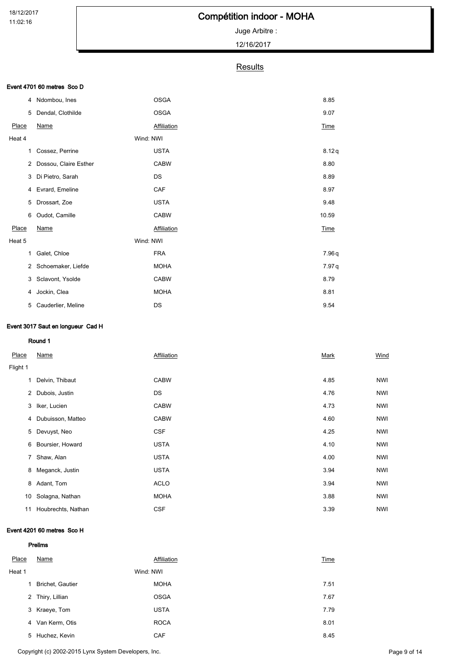# Compétition indoor - MOHA

## Juge Arbitre :

12/16/2017

### **Results**

### Event 4701 60 metres Sco D

| 4      | Ndombou, Ines         | <b>OSGA</b> | 8.85        |
|--------|-----------------------|-------------|-------------|
| 5      | Dendal, Clothilde     | <b>OSGA</b> | 9.07        |
| Place  | <b>Name</b>           | Affiliation | <b>Time</b> |
| Heat 4 |                       | Wind: NWI   |             |
| 1      | Cossez, Perrine       | <b>USTA</b> | 8.12q       |
| 2      | Dossou, Claire Esther | <b>CABW</b> | 8.80        |
| 3      | Di Pietro, Sarah      | DS          | 8.89        |
| 4      | Evrard, Emeline       | CAF         | 8.97        |
| 5      | Drossart, Zoe         | <b>USTA</b> | 9.48        |
| 6      | Oudot, Camille        | <b>CABW</b> | 10.59       |
| Place  | Name                  | Affiliation | <b>Time</b> |
| Heat 5 |                       | Wind: NWI   |             |
| 1      | Galet, Chloe          | <b>FRA</b>  | 7.96 q      |
| 2      | Schoemaker, Liefde    | <b>MOHA</b> | 7.97 q      |
| 3      | Sclavont, Ysolde      | <b>CABW</b> | 8.79        |
| 4      | Jockin, Clea          | <b>MOHA</b> | 8.81        |
| 5      | Cauderlier, Meline    | DS          | 9.54        |

### Event 3017 Saut en longueur Cad H

#### Round 1

| Place    | Name               | Affiliation | Mark | Wind       |
|----------|--------------------|-------------|------|------------|
| Flight 1 |                    |             |      |            |
| 1        | Delvin, Thibaut    | <b>CABW</b> | 4.85 | <b>NWI</b> |
| 2        | Dubois, Justin     | DS          | 4.76 | <b>NWI</b> |
| 3        | Iker, Lucien       | <b>CABW</b> | 4.73 | NWI        |
| 4        | Dubuisson, Matteo  | <b>CABW</b> | 4.60 | <b>NWI</b> |
| 5        | Devuyst, Neo       | <b>CSF</b>  | 4.25 | <b>NWI</b> |
| 6        | Boursier, Howard   | <b>USTA</b> | 4.10 | <b>NWI</b> |
| 7        | Shaw, Alan         | <b>USTA</b> | 4.00 | <b>NWI</b> |
| 8        | Meganck, Justin    | <b>USTA</b> | 3.94 | <b>NWI</b> |
| 8        | Adant, Tom         | <b>ACLO</b> | 3.94 | <b>NWI</b> |
| 10       | Solagna, Nathan    | <b>MOHA</b> | 3.88 | <b>NWI</b> |
| 11       | Houbrechts, Nathan | <b>CSF</b>  | 3.39 | <b>NWI</b> |

### Event 4201 60 metres Sco H

| Place  | Name                    | Affiliation | Time |
|--------|-------------------------|-------------|------|
| Heat 1 |                         | Wind: NWI   |      |
| 1      | <b>Brichet, Gautier</b> | <b>MOHA</b> | 7.51 |
|        | 2 Thiry, Lillian        | <b>OSGA</b> | 7.67 |
|        | 3 Kraeye, Tom           | <b>USTA</b> | 7.79 |
| 4      | Van Kerm, Otis          | <b>ROCA</b> | 8.01 |
| 5      | Huchez, Kevin           | <b>CAF</b>  | 8.45 |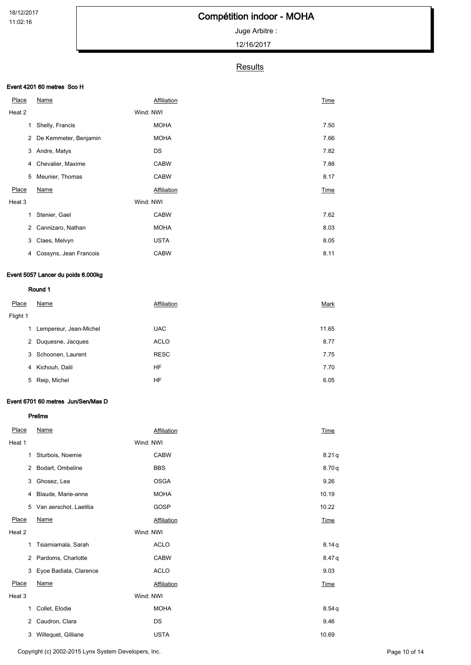Juge Arbitre :

12/16/2017

## **Results**

### Event 4201 60 metres Sco H

| <b>Place</b>   | Name                   | Affiliation | Time |
|----------------|------------------------|-------------|------|
| Heat 2         |                        | Wind: NWI   |      |
| 1              | Shelly, Francis        | <b>MOHA</b> | 7.50 |
| 2              | De Kemmeter, Benjamin  | <b>MOHA</b> | 7.66 |
| 3              | Andre, Matys           | DS          | 7.82 |
| 4              | Chevalier, Maxime      | <b>CABW</b> | 7.88 |
| 5              | Meunier, Thomas        | <b>CABW</b> | 8.17 |
| Place          | Name                   | Affiliation | Time |
| Heat 3         |                        | Wind: NWI   |      |
| 1              | Stenier, Gael          | <b>CABW</b> | 7.62 |
| $\overline{2}$ | Cannizaro, Nathan      | <b>MOHA</b> | 8.03 |
| 3              | Claes, Melvyn          | <b>USTA</b> | 8.05 |
| 4              | Cossyns, Jean Francois | <b>CABW</b> | 8.11 |

### Event 5057 Lancer du poids 6.000kg

### Round 1

| Place    | Name                   | Affiliation | Mark  |
|----------|------------------------|-------------|-------|
| Flight 1 |                        |             |       |
| 1.       | Lempereur, Jean-Michel | <b>UAC</b>  | 11.65 |
| 2        | Duquesne, Jacques      | <b>ACLO</b> | 8.77  |
| 3        | Schoonen, Laurent      | <b>RESC</b> | 7.75  |
| 4        | Kichouh, Dalil         | HF          | 7.70  |
| 5        | Reip, Michel           | HF          | 6.05  |

#### Event 6701 60 metres Jun/Sen/Mas D

| Place          | <b>Name</b>            |           | Affiliation | Time        |
|----------------|------------------------|-----------|-------------|-------------|
| Heat 1         |                        | Wind: NWI |             |             |
| 1              | Sturbois, Noemie       |           | <b>CABW</b> | 8.21q       |
| 2              | Bodart, Ombeline       |           | <b>BBS</b>  | 8.70q       |
| 3              | Ghosez, Lea            |           | <b>OSGA</b> | 9.26        |
| 4              | Blaude, Marie-anne     |           | <b>MOHA</b> | 10.19       |
| 5              | Van aerschot, Laetitia |           | GOSP        | 10.22       |
| Place          | <b>Name</b>            |           | Affiliation | <b>Time</b> |
| Heat 2         |                        | Wind: NWI |             |             |
| 1              | Tsiamiamala, Sarah     |           | <b>ACLO</b> | 8.14q       |
| $\overline{2}$ | Pardoms, Charlotte     |           | <b>CABW</b> | 8.47q       |
| 3              | Eyoe Badiata, Clarence |           | <b>ACLO</b> | 9.03        |
| Place          | <b>Name</b>            |           | Affiliation | Time        |
| Heat 3         |                        | Wind: NWI |             |             |
| 1              | Collet, Elodie         |           | <b>MOHA</b> | 8.54q       |
| 2              | Caudron, Clara         |           | DS          | 9.46        |
| 3              | Willequet, Gilliane    |           | <b>USTA</b> | 10.69       |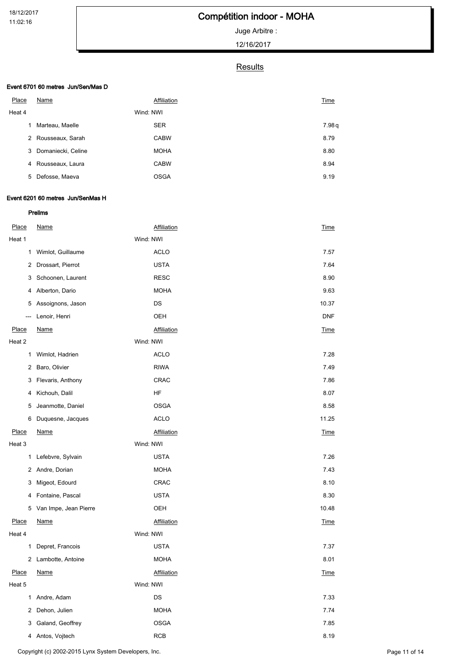# Compétition indoor - MOHA

Juge Arbitre :

12/16/2017

### **Results**

### Event 6701 60 metres Jun/Sen/Mas D

| Place  | Name               | Affiliation | Time  |
|--------|--------------------|-------------|-------|
| Heat 4 |                    | Wind: NWI   |       |
| 1      | Marteau, Maelle    | <b>SER</b>  | 7.98q |
| 2      | Rousseaux, Sarah   | <b>CABW</b> | 8.79  |
| 3      | Domaniecki, Celine | <b>MOHA</b> | 8.80  |
| 4      | Rousseaux, Laura   | <b>CABW</b> | 8.94  |
| 5      | Defosse, Maeva     | <b>OSGA</b> | 9.19  |

### Event 6201 60 metres Jun/SenMas H

| Place        | <b>Name</b>           | <b>Affiliation</b> | $\underline{\text{Time}}$ |
|--------------|-----------------------|--------------------|---------------------------|
| Heat 1       |                       | Wind: NWI          |                           |
| 1            | Wimlot, Guillaume     | <b>ACLO</b>        | 7.57                      |
| 2            | Drossart, Pierrot     | <b>USTA</b>        | 7.64                      |
| 3            | Schoonen, Laurent     | <b>RESC</b>        | 8.90                      |
| 4            | Alberton, Dario       | <b>MOHA</b>        | 9.63                      |
| 5            | Assoignons, Jason     | DS                 | 10.37                     |
| ---          | Lenoir, Henri         | OEH                | <b>DNF</b>                |
| <b>Place</b> | <b>Name</b>           | Affiliation        | Time                      |
| Heat 2       |                       | Wind: NWI          |                           |
| 1            | Wimlot, Hadrien       | <b>ACLO</b>        | 7.28                      |
| 2            | Baro, Olivier         | <b>RIWA</b>        | 7.49                      |
| 3            | Flevaris, Anthony     | CRAC               | 7.86                      |
| 4            | Kichouh, Dalil        | HF                 | 8.07                      |
| 5            | Jeanmotte, Daniel     | <b>OSGA</b>        | 8.58                      |
| 6            | Duquesne, Jacques     | <b>ACLO</b>        | 11.25                     |
| Place        | <b>Name</b>           | <b>Affiliation</b> | <b>Time</b>               |
| Heat 3       |                       | Wind: NWI          |                           |
|              | 1 Lefebvre, Sylvain   | <b>USTA</b>        | 7.26                      |
| $\mathbf{2}$ | Andre, Dorian         | <b>MOHA</b>        | 7.43                      |
| 3            | Migeot, Edourd        | CRAC               | 8.10                      |
| 4            | Fontaine, Pascal      | <b>USTA</b>        | 8.30                      |
| 5            | Van Impe, Jean Pierre | OEH                | 10.48                     |
| <b>Place</b> | <b>Name</b>           | <b>Affiliation</b> | Time                      |
| Heat 4       |                       | Wind: NWI          |                           |
| $\mathbf{1}$ | Depret, Francois      | <b>USTA</b>        | 7.37                      |
|              | 2 Lambotte, Antoine   | <b>MOHA</b>        | 8.01                      |
| Place        | <b>Name</b>           | Affiliation        | <b>Time</b>               |
| Heat 5       |                       | Wind: NWI          |                           |
| $\mathbf{1}$ | Andre, Adam           | DS                 | 7.33                      |
| 2            | Dehon, Julien         | <b>MOHA</b>        | 7.74                      |
| 3            | Galand, Geoffrey      | <b>OSGA</b>        | 7.85                      |
|              | 4 Antos, Vojtech      | <b>RCB</b>         | 8.19                      |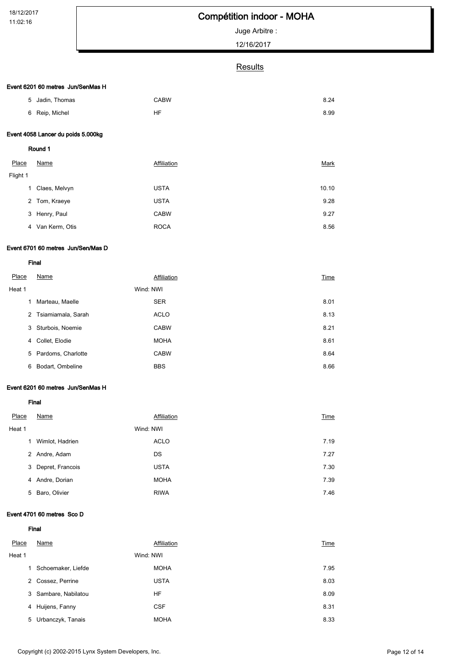# Compétition indoor - MOHA

Juge Arbitre :

12/16/2017

### **Results**

#### Event 6201 60 metres Jun/SenMas H

| 5        | Jadin, Thomas                      | <b>CABW</b> | 8.24  |
|----------|------------------------------------|-------------|-------|
| 6        | Reip, Michel                       | <b>HF</b>   | 8.99  |
|          | Event 4058 Lancer du poids 5.000kg |             |       |
|          | Round 1                            |             |       |
| Place    | Name                               | Affiliation | Mark  |
| Flight 1 |                                    |             |       |
| 1        | Claes, Melvyn                      | <b>USTA</b> | 10.10 |
| 2        | Tom, Kraeye                        | <b>USTA</b> | 9.28  |
| 3        | Henry, Paul                        | <b>CABW</b> | 9.27  |
|          | 4 Van Kerm, Otis                   | <b>ROCA</b> | 8.56  |

#### Event 6701 60 metres Jun/Sen/Mas D

Final

| Place  | Name                 | Affiliation | Time |
|--------|----------------------|-------------|------|
| Heat 1 |                      | Wind: NWI   |      |
| 1      | Marteau, Maelle      | <b>SER</b>  | 8.01 |
|        | 2 Tsiamiamala, Sarah | <b>ACLO</b> | 8.13 |
| 3      | Sturbois, Noemie     | <b>CABW</b> | 8.21 |
| 4      | Collet, Elodie       | <b>MOHA</b> | 8.61 |
|        | 5 Pardoms, Charlotte | <b>CABW</b> | 8.64 |
| 6      | Bodart, Ombeline     | <b>BBS</b>  | 8.66 |

#### Event 6201 60 metres Jun/SenMas H

Final

| Place  | Name             | Affiliation | Time |
|--------|------------------|-------------|------|
| Heat 1 |                  | Wind: NWI   |      |
| 1      | Wimlot, Hadrien  | <b>ACLO</b> | 7.19 |
| 2      | Andre, Adam      | DS          | 7.27 |
| 3      | Depret, Francois | <b>USTA</b> | 7.30 |
| 4      | Andre, Dorian    | <b>MOHA</b> | 7.39 |
| 5      | Baro, Olivier    | <b>RIWA</b> | 7.46 |

#### Event 4701 60 metres Sco D

Final

| Place  | Name                 | Affiliation | Time |
|--------|----------------------|-------------|------|
| Heat 1 | Wind: NWI            |             |      |
| 1      | Schoemaker, Liefde   | <b>MOHA</b> | 7.95 |
|        | 2 Cossez, Perrine    | <b>USTA</b> | 8.03 |
|        | 3 Sambare, Nabilatou | HF          | 8.09 |
| 4      | Huijens, Fanny       | <b>CSF</b>  | 8.31 |
| 5      | Urbanczyk, Tanais    | <b>MOHA</b> | 8.33 |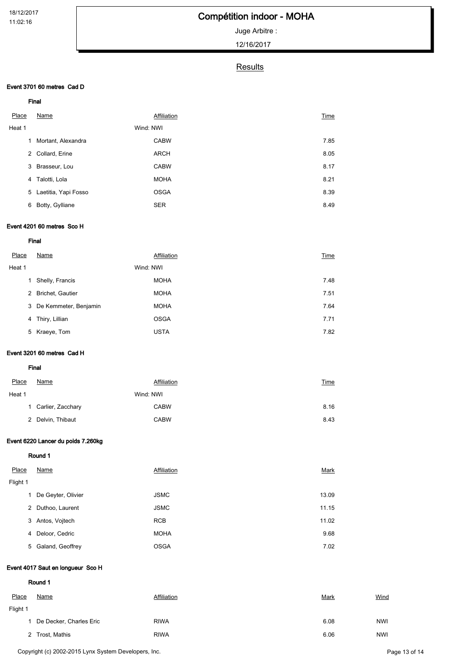# Compétition indoor - MOHA

Juge Arbitre :

12/16/2017

## **Results**

### Event 3701 60 metres Cad D

|  | ×<br>۰. |  |
|--|---------|--|

| Place  | Name                 |           | Affiliation | Time |
|--------|----------------------|-----------|-------------|------|
| Heat 1 |                      | Wind: NWI |             |      |
| 1      | Mortant, Alexandra   |           | <b>CABW</b> | 7.85 |
| 2      | Collard, Erine       |           | <b>ARCH</b> | 8.05 |
| 3      | Brasseur, Lou        |           | <b>CABW</b> | 8.17 |
| 4      | Talotti, Lola        |           | <b>MOHA</b> | 8.21 |
| 5      | Laetitia, Yapi Fosso |           | <b>OSGA</b> | 8.39 |
| 6      | Botty, Gylliane      |           | <b>SER</b>  | 8.49 |

### Event 4201 60 metres Sco H

Final

| Place  | Name                    | Affiliation | Time |  |
|--------|-------------------------|-------------|------|--|
| Heat 1 |                         | Wind: NWI   |      |  |
| 1      | Shelly, Francis         | <b>MOHA</b> | 7.48 |  |
| 2      | Brichet, Gautier        | <b>MOHA</b> | 7.51 |  |
|        | 3 De Kemmeter, Benjamin | <b>MOHA</b> | 7.64 |  |
| 4      | Thiry, Lillian          | <b>OSGA</b> | 7.71 |  |
| 5      | Kraeye, Tom             | <b>USTA</b> | 7.82 |  |
|        |                         |             |      |  |

### Event 3201 60 metres Cad H

Final

| Place  | Name                | Affiliation | <b>Time</b> |
|--------|---------------------|-------------|-------------|
| Heat 1 |                     | Wind: NWI   |             |
|        | 1 Carlier, Zacchary | <b>CABW</b> | 8.16        |
|        | 2 Delvin, Thibaut   | <b>CABW</b> | 8.43        |

### Event 6220 Lancer du poids 7.260kg

Round 1

| Place    | Name               | Affiliation | Mark  |  |
|----------|--------------------|-------------|-------|--|
| Flight 1 |                    |             |       |  |
| 1        | De Geyter, Olivier | <b>JSMC</b> | 13.09 |  |
| 2        | Duthoo, Laurent    | <b>JSMC</b> | 11.15 |  |
| 3        | Antos, Vojtech     | <b>RCB</b>  | 11.02 |  |
| 4        | Deloor, Cedric     | <b>MOHA</b> | 9.68  |  |
|          | 5 Galand, Geoffrey | <b>OSGA</b> | 7.02  |  |
|          |                    |             |       |  |

#### Event 4017 Saut en longueur Sco H

| Place    | Name                    | Affiliation | <b>Mark</b> | Wind       |
|----------|-------------------------|-------------|-------------|------------|
| Flight 1 |                         |             |             |            |
|          | De Decker, Charles Eric | <b>RIWA</b> | 6.08        | <b>NWI</b> |
|          | 2 Trost, Mathis         | <b>RIWA</b> | 6.06        | <b>NWI</b> |